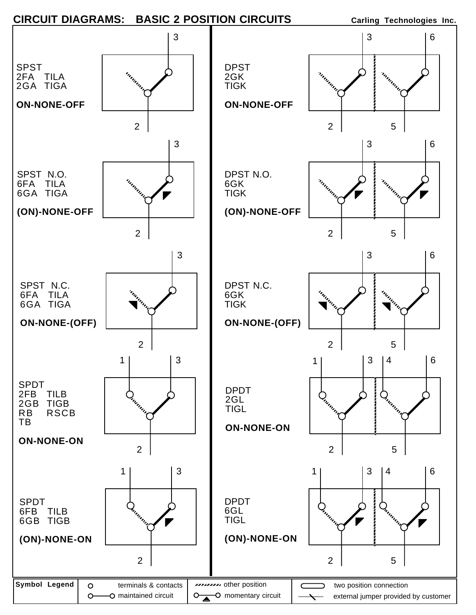



6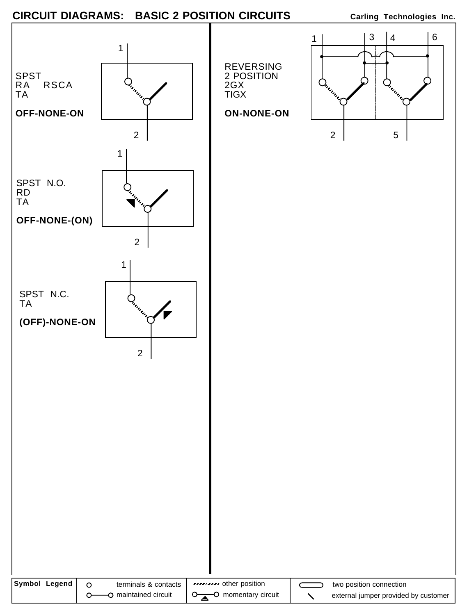## CIRCUIT DIAGRAMS: BASIC 2 POSITION CIRCUITS Carling Technologies Inc.

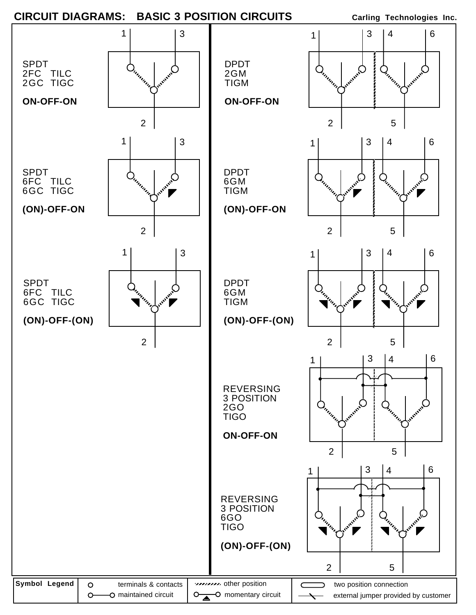## **CIRCUIT DIAGRAMS:** BASIC 3 POSITION CIRCUITS Carling Technologies Inc.